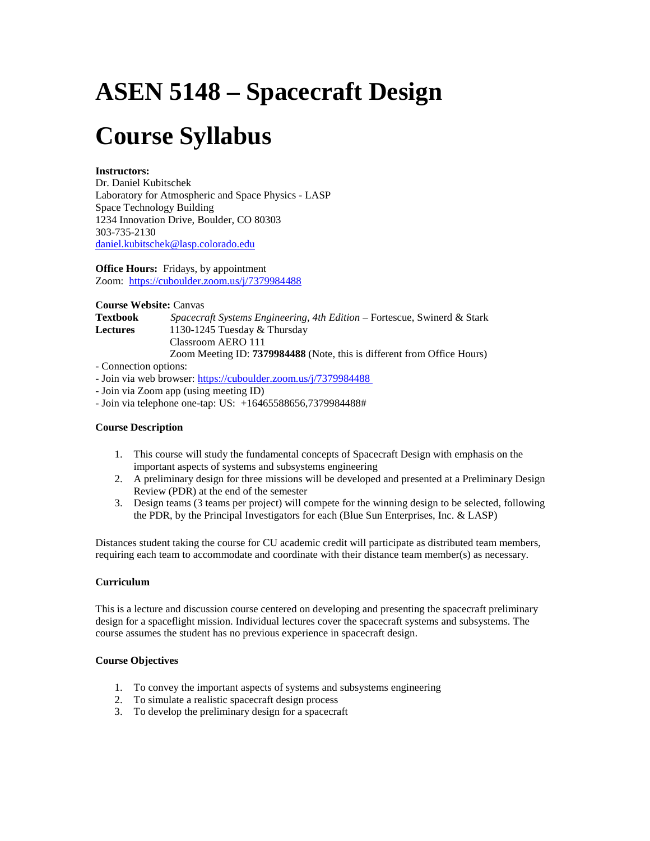# **ASEN 5148 – Spacecraft Design**

# **Course Syllabus**

### **Instructors:**

Dr. Daniel Kubitschek Laboratory for Atmospheric and Space Physics - LASP Space Technology Building 1234 Innovation Drive, Boulder, CO 80303 303-735-2130 [daniel.kubitschek@lasp.colorado.edu](mailto:mcgrath@lasp.colorado.edu)

**Office Hours:** Fridays, by appointment Zoom: https://cuboulder.zoom.us/j/7379984488

**Course Website:** Canvas **Textbook** *Spacecraft Systems Engineering, 4th Edition* – Fortescue, Swinerd & Stark **Lectures** 1130-1245 Tuesday & Thursday Classroom AERO 111 Zoom Meeting ID: **7379984488** (Note, this is different from Office Hours)

- Connection options:

- Join via web browser: https://cuboulder.zoom.us/j/7379984488

- Join via Zoom app (using meeting ID)

- Join via telephone one-tap: US: +16465588656,7379984488#

### **Course Description**

- 1. This course will study the fundamental concepts of Spacecraft Design with emphasis on the important aspects of systems and subsystems engineering
- 2. A preliminary design for three missions will be developed and presented at a Preliminary Design Review (PDR) at the end of the semester
- 3. Design teams (3 teams per project) will compete for the winning design to be selected, following the PDR, by the Principal Investigators for each (Blue Sun Enterprises, Inc. & LASP)

Distances student taking the course for CU academic credit will participate as distributed team members, requiring each team to accommodate and coordinate with their distance team member(s) as necessary.

### **Curriculum**

This is a lecture and discussion course centered on developing and presenting the spacecraft preliminary design for a spaceflight mission. Individual lectures cover the spacecraft systems and subsystems. The course assumes the student has no previous experience in spacecraft design.

### **Course Objectives**

- 1. To convey the important aspects of systems and subsystems engineering
- 2. To simulate a realistic spacecraft design process
- 3. To develop the preliminary design for a spacecraft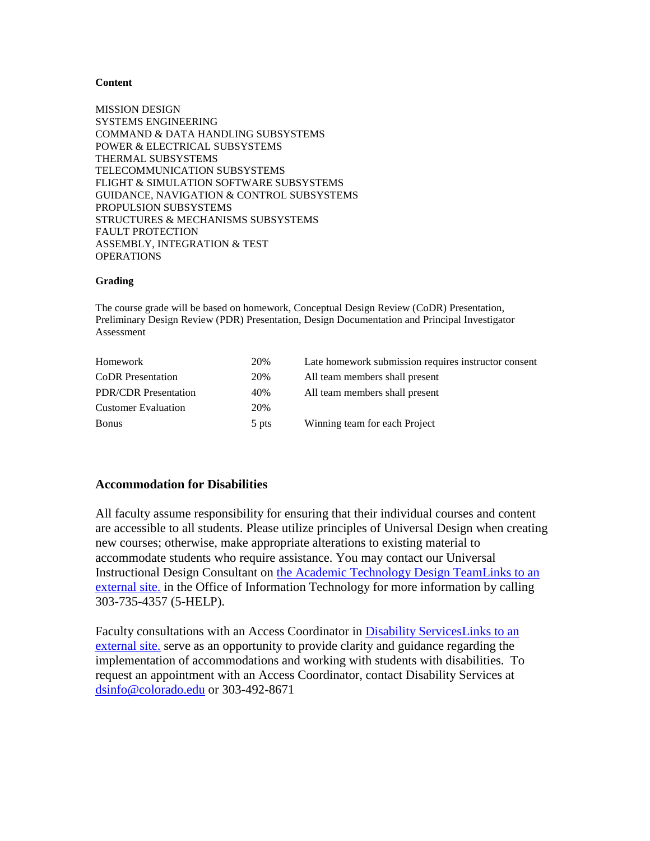#### **Content**

MISSION DESIGN SYSTEMS ENGINEERING COMMAND & DATA HANDLING SUBSYSTEMS POWER & ELECTRICAL SUBSYSTEMS THERMAL SUBSYSTEMS TELECOMMUNICATION SUBSYSTEMS FLIGHT & SIMULATION SOFTWARE SUBSYSTEMS GUIDANCE, NAVIGATION & CONTROL SUBSYSTEMS PROPULSION SUBSYSTEMS STRUCTURES & MECHANISMS SUBSYSTEMS FAULT PROTECTION ASSEMBLY, INTEGRATION & TEST **OPERATIONS** 

#### **Grading**

The course grade will be based on homework, Conceptual Design Review (CoDR) Presentation, Preliminary Design Review (PDR) Presentation, Design Documentation and Principal Investigator Assessment

| Homework                    | 20%   | Late homework submission requires instructor consent |
|-----------------------------|-------|------------------------------------------------------|
| <b>CoDR</b> Presentation    | 20%   | All team members shall present                       |
| <b>PDR/CDR</b> Presentation | 40%   | All team members shall present                       |
| <b>Customer Evaluation</b>  | 20%   |                                                      |
| <b>Bonus</b>                | 5 pts | Winning team for each Project                        |

## **Accommodation for Disabilities**

All faculty assume responsibility for ensuring that their individual courses and content are accessible to all students. Please utilize principles of Universal Design when creating new courses; otherwise, make appropriate alterations to existing material to accommodate students who require assistance. You may contact our Universal Instructional Design Consultant on [the Academic Technology Design TeamLinks to an](http://www.colorado.edu/oit/services/academic-technology/academic-technology-design-team)  [external site.](http://www.colorado.edu/oit/services/academic-technology/academic-technology-design-team) in the Office of Information Technology for more information by calling 303-735-4357 (5-HELP).

Faculty consultations with an Access Coordinator in [Disability ServicesLinks to an](http://www.colorado.edu/disabilityservices/faculty-staff)  [external site.](http://www.colorado.edu/disabilityservices/faculty-staff) serve as an opportunity to provide clarity and guidance regarding the implementation of accommodations and working with students with disabilities. To request an appointment with an Access Coordinator, contact Disability Services at [dsinfo@colorado.edu](mailto:dsinfo@colorado.edu) or 303-492-8671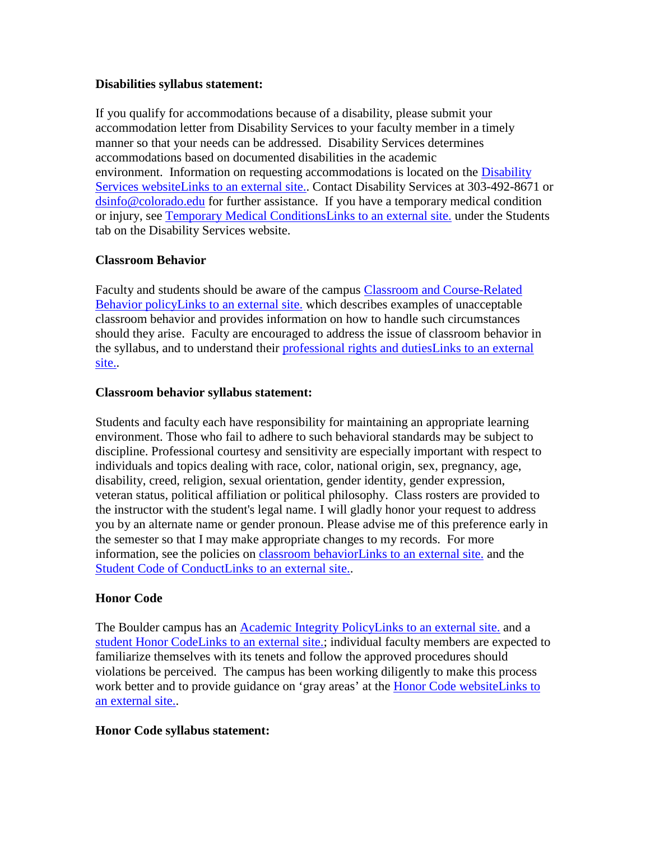## **Disabilities syllabus statement:**

If you qualify for accommodations because of a disability, please submit your accommodation letter from Disability Services to your faculty member in a timely manner so that your needs can be addressed. Disability Services determines accommodations based on documented disabilities in the academic environment. Information on requesting accommodations is located on the [Disability](http://www.colorado.edu/disabilityservices/students)  [Services websiteLinks to an external site..](http://www.colorado.edu/disabilityservices/students) Contact Disability Services at 303-492-8671 or [dsinfo@colorado.edu](mailto:dsinfo@colorado.edu) for further assistance. If you have a temporary medical condition or injury, see [Temporary Medical ConditionsLinks to an external site.](http://www.colorado.edu/disabilityservices/students/temporary-medical-conditions) under the Students tab on the Disability Services website.

# **Classroom Behavior**

Faculty and students should be aware of the campus [Classroom and Course-Related](http://www.colorado.edu/policies/student-classroom-and-course-related-behavior)  [Behavior policyLinks to an external site.](http://www.colorado.edu/policies/student-classroom-and-course-related-behavior) which describes examples of unacceptable classroom behavior and provides information on how to handle such circumstances should they arise. Faculty are encouraged to address the issue of classroom behavior in the syllabus, and to understand their [professional rights and dutiesLinks to an external](http://www.colorado.edu/bfa/sites/default/files/attached-files/PRDJanuary16_2013_0.pdf)  [site..](http://www.colorado.edu/bfa/sites/default/files/attached-files/PRDJanuary16_2013_0.pdf)

## **Classroom behavior syllabus statement:**

Students and faculty each have responsibility for maintaining an appropriate learning environment. Those who fail to adhere to such behavioral standards may be subject to discipline. Professional courtesy and sensitivity are especially important with respect to individuals and topics dealing with race, color, national origin, sex, pregnancy, age, disability, creed, religion, sexual orientation, gender identity, gender expression, veteran status, political affiliation or political philosophy. Class rosters are provided to the instructor with the student's legal name. I will gladly honor your request to address you by an alternate name or gender pronoun. Please advise me of this preference early in the semester so that I may make appropriate changes to my records. For more information, see the policies on [classroom behaviorLinks to an external site.](http://www.colorado.edu/policies/student-classroom-and-course-related-behavior) and the [Student Code of ConductLinks to an external site..](http://www.colorado.edu/osccr/)

# **Honor Code**

The Boulder campus has an [Academic Integrity PolicyLinks to an external site.](http://www.colorado.edu/policies/academic-integrity-policy) and a [student Honor CodeLinks to an external site.;](http://honorcode.colorado.edu/) individual faculty members are expected to familiarize themselves with its tenets and follow the approved procedures should violations be perceived. The campus has been working diligently to make this process work better and to provide guidance on 'gray areas' at the [Honor Code websiteLinks to](http://honorcode.colorado.edu/)  [an external site..](http://honorcode.colorado.edu/)

# **Honor Code syllabus statement:**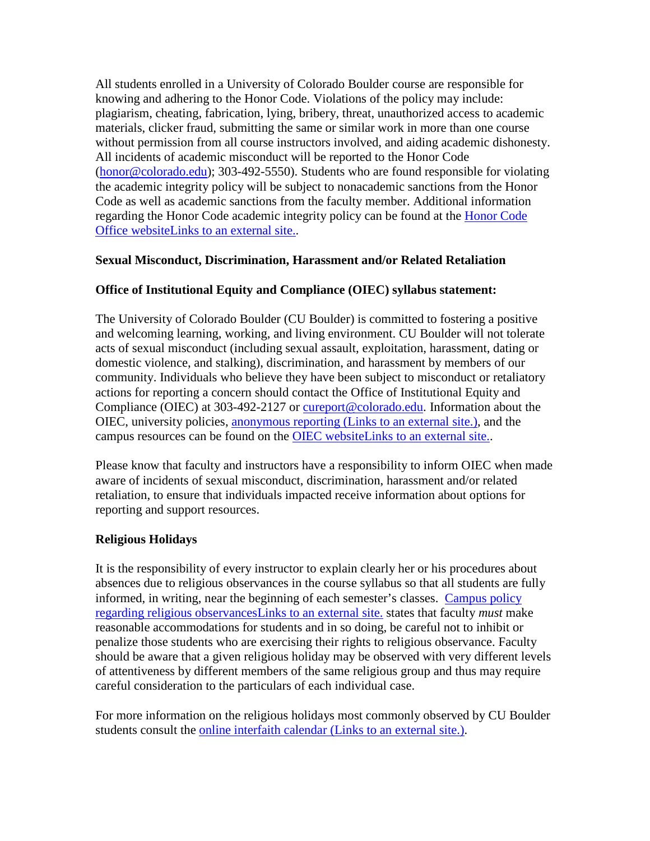All students enrolled in a University of Colorado Boulder course are responsible for knowing and adhering to the Honor Code. Violations of the policy may include: plagiarism, cheating, fabrication, lying, bribery, threat, unauthorized access to academic materials, clicker fraud, submitting the same or similar work in more than one course without permission from all course instructors involved, and aiding academic dishonesty. All incidents of academic misconduct will be reported to the Honor Code [\(honor@colorado.edu\)](mailto:honor@colorado.edu); 303-492-5550). Students who are found responsible for violating the academic integrity policy will be subject to nonacademic sanctions from the Honor Code as well as academic sanctions from the faculty member. Additional information regarding the [Honor Code](https://www.colorado.edu/osccr/honor-code) academic integrity policy can be found at the Honor Code [Office websiteLinks to an external site..](https://www.colorado.edu/osccr/honor-code)

# **Sexual Misconduct, Discrimination, Harassment and/or Related Retaliation**

## **Office of Institutional Equity and Compliance (OIEC) syllabus statement:**

The University of Colorado Boulder (CU Boulder) is committed to fostering a positive and welcoming learning, working, and living environment. CU Boulder will not tolerate acts of sexual misconduct (including sexual assault, exploitation, harassment, dating or domestic violence, and stalking), discrimination, and harassment by members of our community. Individuals who believe they have been subject to misconduct or retaliatory actions for reporting a concern should contact the Office of Institutional Equity and Compliance (OIEC) at 303-492-2127 or [cureport@colorado.edu.](mailto:cureport@colorado.edu) Information about the OIEC, university policies, anonymous reporting [\(Links to an external site.\),](https://cuboulder.qualtrics.com/jfe/form/SV_0PnqVK4kkIJIZnf) and the campus resources can be found on the [OIEC websiteLinks to an external site..](http://www.colorado.edu/institutionalequity/)

Please know that faculty and instructors have a responsibility to inform OIEC when made aware of incidents of sexual misconduct, discrimination, harassment and/or related retaliation, to ensure that individuals impacted receive information about options for reporting and support resources.

## **Religious Holidays**

It is the responsibility of every instructor to explain clearly her or his procedures about absences due to religious observances in the course syllabus so that all students are fully informed, in writing, near the beginning of each semester's classes. [Campus policy](http://www.colorado.edu/policies/observance-religious-holidays-and-absences-classes-andor-exams)  [regarding religious observancesLinks to an external site.](http://www.colorado.edu/policies/observance-religious-holidays-and-absences-classes-andor-exams) states that faculty *must* make reasonable accommodations for students and in so doing, be careful not to inhibit or penalize those students who are exercising their rights to religious observance. Faculty should be aware that a given religious holiday may be observed with very different levels of attentiveness by different members of the same religious group and thus may require careful consideration to the particulars of each individual case.

For more information on the religious holidays most commonly observed by CU Boulder students consult the online interfaith calendar [\(Links to an external site.\).](http://www.interfaith-calendar.org/)